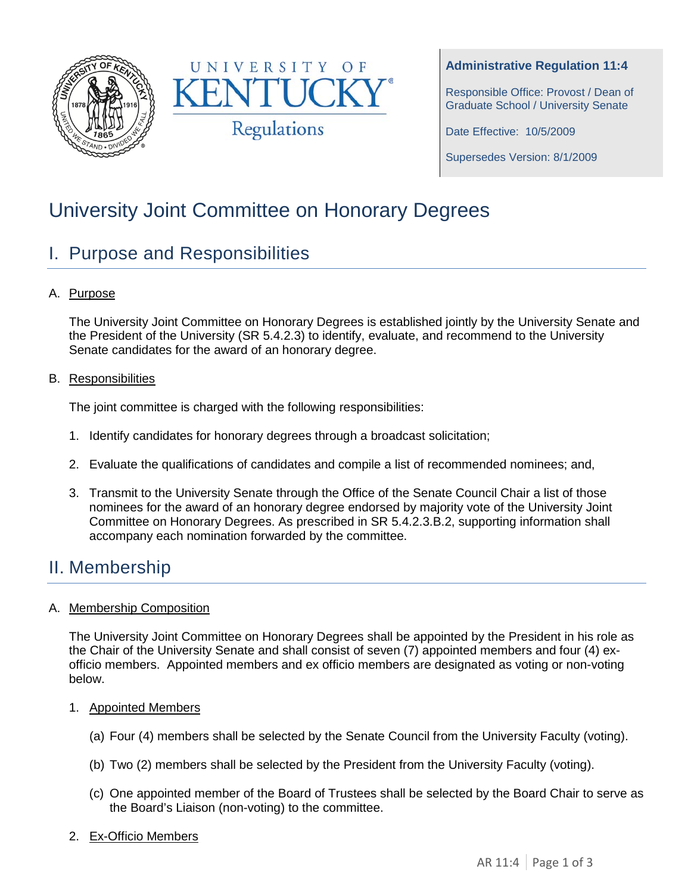



#### **Administrative Regulation 11:4**

Responsible Office: Provost / Dean of Graduate School / University Senate

Date Effective: 10/5/2009

Supersedes Version: 8/1/2009

# University Joint Committee on Honorary Degrees

## I. Purpose and Responsibilities

A. Purpose

The University Joint Committee on Honorary Degrees is established jointly by the University Senate and the President of the University (SR 5.4.2.3) to identify, evaluate, and recommend to the University Senate candidates for the award of an honorary degree.

B. Responsibilities

The joint committee is charged with the following responsibilities:

- 1. Identify candidates for honorary degrees through a broadcast solicitation;
- 2. Evaluate the qualifications of candidates and compile a list of recommended nominees; and,
- 3. Transmit to the University Senate through the Office of the Senate Council Chair a list of those nominees for the award of an honorary degree endorsed by majority vote of the University Joint Committee on Honorary Degrees. As prescribed in SR 5.4.2.3.B.2, supporting information shall accompany each nomination forwarded by the committee.

## II. Membership

#### A. Membership Composition

The University Joint Committee on Honorary Degrees shall be appointed by the President in his role as the Chair of the University Senate and shall consist of seven (7) appointed members and four (4) exofficio members. Appointed members and ex officio members are designated as voting or non-voting below.

- 1. Appointed Members
	- (a) Four (4) members shall be selected by the Senate Council from the University Faculty (voting).
	- (b) Two (2) members shall be selected by the President from the University Faculty (voting).
	- (c) One appointed member of the Board of Trustees shall be selected by the Board Chair to serve as the Board's Liaison (non-voting) to the committee.
- 2. Ex-Officio Members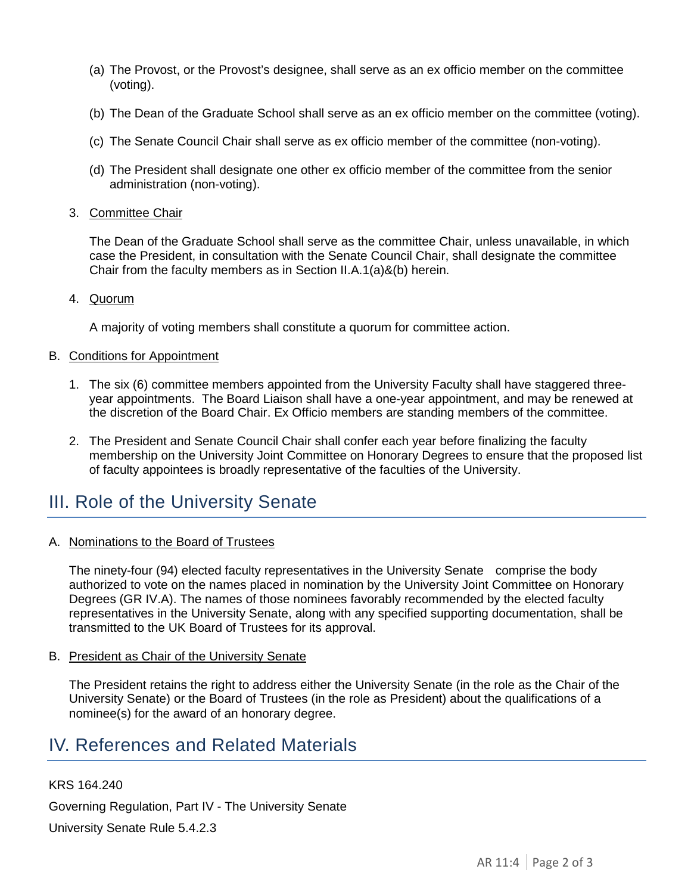- (a) The Provost, or the Provost's designee, shall serve as an ex officio member on the committee (voting).
- (b) The Dean of the Graduate School shall serve as an ex officio member on the committee (voting).
- (c) The Senate Council Chair shall serve as ex officio member of the committee (non-voting).
- (d) The President shall designate one other ex officio member of the committee from the senior administration (non-voting).
- 3. Committee Chair

The Dean of the Graduate School shall serve as the committee Chair, unless unavailable, in which case the President, in consultation with the Senate Council Chair, shall designate the committee Chair from the faculty members as in Section II.A.1(a)&(b) herein.

4. Quorum

A majority of voting members shall constitute a quorum for committee action.

- B. Conditions for Appointment
	- 1. The six (6) committee members appointed from the University Faculty shall have staggered threeyear appointments. The Board Liaison shall have a one-year appointment, and may be renewed at the discretion of the Board Chair. Ex Officio members are standing members of the committee.
	- 2. The President and Senate Council Chair shall confer each year before finalizing the faculty membership on the University Joint Committee on Honorary Degrees to ensure that the proposed list of faculty appointees is broadly representative of the faculties of the University.

# III. Role of the University Senate

A. Nominations to the Board of Trustees

The ninety-four (94) elected faculty representatives in the University Senate comprise the body authorized to vote on the names placed in nomination by the University Joint Committee on Honorary Degrees (GR IV.A). The names of those nominees favorably recommended by the elected faculty representatives in the University Senate, along with any specified supporting documentation, shall be transmitted to the UK Board of Trustees for its approval.

B. President as Chair of the University Senate

The President retains the right to address either the University Senate (in the role as the Chair of the University Senate) or the Board of Trustees (in the role as President) about the qualifications of a nominee(s) for the award of an honorary degree.

### IV. References and Related Materials

KRS 164.240

Governing Regulation, Part IV - The University Senate

University Senate Rule 5.4.2.3